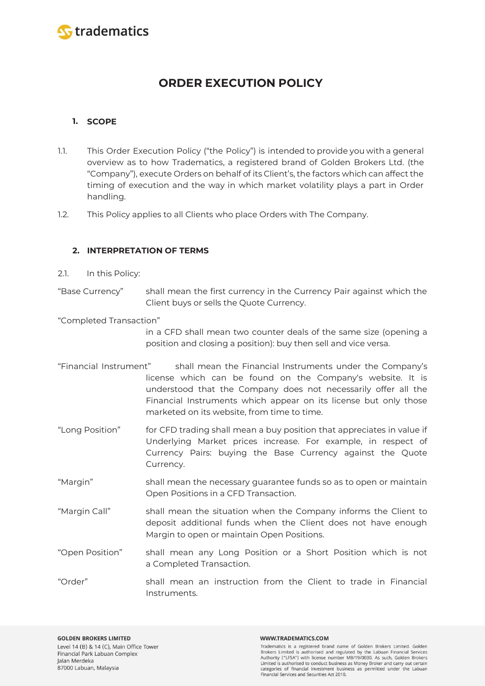

# **ORDER EXECUTION POLICY**

# **1. SCOPE**

- 1.1. This Order Execution Policy ("the Policy") is intended to provide you with a general overview as to how Tradematics, a registered brand of Golden Brokers Ltd. (the "Company"), execute Orders on behalf of its Client's, the factors which can affect the timing of execution and the way in which market volatility plays a part in Order handling.
- 1.2. This Policy applies to all Clients who place Orders with The Company.

# **2. INTERPRETATION OF TERMS**

2.1. In this Policy:

"Base Currency" shall mean the first currency in the Currency Pair against which the Client buys or sells the Quote Currency.

"Completed Transaction"

in a CFD shall mean two counter deals of the same size (opening a position and closing a position): buy then sell and vice versa.

- "Financial Instrument" shall mean the Financial Instruments under the Company's license which can be found on the Company's website. It is understood that the Company does not necessarily offer all the Financial Instruments which appear on its license but only those marketed on its website, from time to time.
- "Long Position" for CFD trading shall mean a buy position that appreciates in value if Underlying Market prices increase. For example, in respect of Currency Pairs: buying the Base Currency against the Quote Currency.
- "Margin" shall mean the necessary guarantee funds so as to open or maintain Open Positions in a CFD Transaction.
- "Margin Call" shall mean the situation when the Company informs the Client to deposit additional funds when the Client does not have enough Margin to open or maintain Open Positions.
- "Open Position" shall mean any Long Position or a Short Position which is not a Completed Transaction.
- "Order" shall mean an instruction from the Client to trade in Financial Instruments.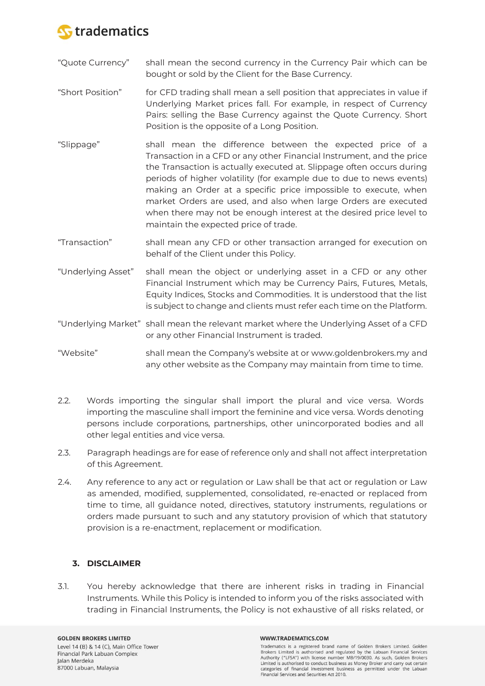

- "Quote Currency" shall mean the second currency in the Currency Pair which can be bought or sold by the Client for the Base Currency.
- "Short Position" for CFD trading shall mean a sell position that appreciates in value if Underlying Market prices fall. For example, in respect of Currency Pairs: selling the Base Currency against the Quote Currency. Short Position is the opposite of a Long Position.
- "Slippage" shall mean the difference between the expected price of a Transaction in a CFD or any other Financial Instrument, and the price the Transaction is actually executed at. Slippage often occurs during periods of higher volatility (for example due to due to news events) making an Order at a specific price impossible to execute, when market Orders are used, and also when large Orders are executed when there may not be enough interest at the desired price level to maintain the expected price of trade.
- "Transaction" shall mean any CFD or other transaction arranged for execution on behalf of the Client under this Policy.
- "Underlying Asset" shall mean the object or underlying asset in a CFD or any other Financial Instrument which may be Currency Pairs, Futures, Metals, Equity Indices, Stocks and Commodities. It is understood that the list is subject to change and clients must refer each time on the Platform.
- "Underlying Market" shall mean the relevant market where the Underlying Asset of a CFD or any other Financial Instrument is traded.
- "Website" shall mean the Company's website at or www.goldenbrokers.my and any other website as the Company may maintain from time to time.
- 2.2. Words importing the singular shall import the plural and vice versa. Words importing the masculine shall import the feminine and vice versa. Words denoting persons include corporations, partnerships, other unincorporated bodies and all other legal entities and vice versa.
- 2.3. Paragraph headings are for ease of reference only and shall not affect interpretation of this Agreement.
- 2.4. Any reference to any act or regulation or Law shall be that act or regulation or Law as amended, modified, supplemented, consolidated, re-enacted or replaced from time to time, all guidance noted, directives, statutory instruments, regulations or orders made pursuant to such and any statutory provision of which that statutory provision is a re-enactment, replacement or modification.

# **3. DISCLAIMER**

3.1. You hereby acknowledge that there are inherent risks in trading in Financial Instruments. While this Policy is intended to inform you of the risks associated with trading in Financial Instruments, the Policy is not exhaustive of all risks related, or

#### WWW.TRADEMATICS.COM

Tradematics is a registered brand name of Golden Brokers Limited. Golden Brokers Limited is authorised and regulated by the Labuan Financial Services Authority ("LFSA") with license number MB/19/0030. As such, Golden Brokers Limited is authorised to conduct business as Money Broker and carry out certain categories of financial investment business as permitted under the Labuan Financial Services and Securities Act 2010.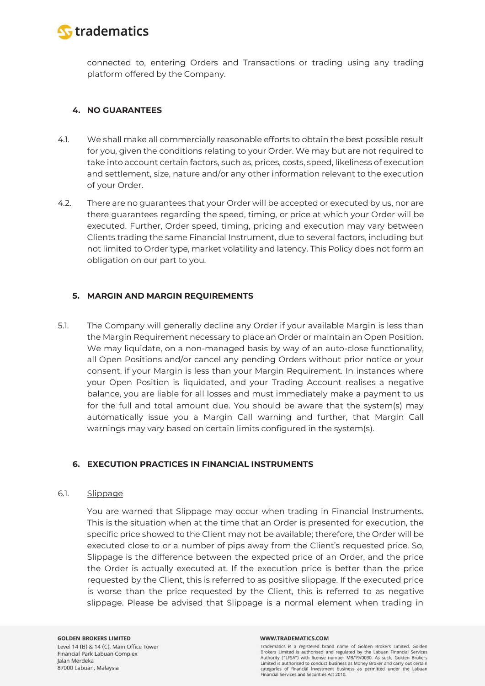

connected to, entering Orders and Transactions or trading using any trading platform offered by the Company.

# **4. NO GUARANTEES**

- 4.1. We shall make all commercially reasonable efforts to obtain the best possible result for you, given the conditions relating to your Order. We may but are not required to take into account certain factors, such as, prices, costs, speed, likeliness of execution and settlement, size, nature and/or any other information relevant to the execution of your Order.
- 4.2. There are no guarantees that your Order will be accepted or executed by us, nor are there guarantees regarding the speed, timing, or price at which your Order will be executed. Further, Order speed, timing, pricing and execution may vary between Clients trading the same Financial Instrument, due to several factors, including but not limited to Order type, market volatility and latency. This Policy does not form an obligation on our part to you.

# **5. MARGIN AND MARGIN REQUIREMENTS**

5.1. The Company will generally decline any Order if your available Margin is less than the Margin Requirement necessary to place an Order or maintain an Open Position. We may liquidate, on a non-managed basis by way of an auto-close functionality, all Open Positions and/or cancel any pending Orders without prior notice or your consent, if your Margin is less than your Margin Requirement. In instances where your Open Position is liquidated, and your Trading Account realises a negative balance, you are liable for all losses and must immediately make a payment to us for the full and total amount due. You should be aware that the system(s) may automatically issue you a Margin Call warning and further, that Margin Call warnings may vary based on certain limits configured in the system(s).

# **6. EXECUTION PRACTICES IN FINANCIAL INSTRUMENTS**

### 6.1. Slippage

You are warned that Slippage may occur when trading in Financial Instruments. This is the situation when at the time that an Order is presented for execution, the specific price showed to the Client may not be available; therefore, the Order will be executed close to or a number of pips away from the Client's requested price. So, Slippage is the difference between the expected price of an Order, and the price the Order is actually executed at. If the execution price is better than the price requested by the Client, this is referred to as positive slippage. If the executed price is worse than the price requested by the Client, this is referred to as negative slippage. Please be advised that Slippage is a normal element when trading in

#### WWW.TRADEMATICS.COM

Tradematics is a registered brand name of Golden Brokers Limited. Golden Brokers Limited is authorised and regulated by the Labuan Financial Services Authority ("LFSA") with license number MB/19/0030. As such, Golden Brokers Limited is authorised to conduct business as Money Broker and carry out certain categories of financial investment business as permitted under the Labuan Financial Services and Securities Act 2010.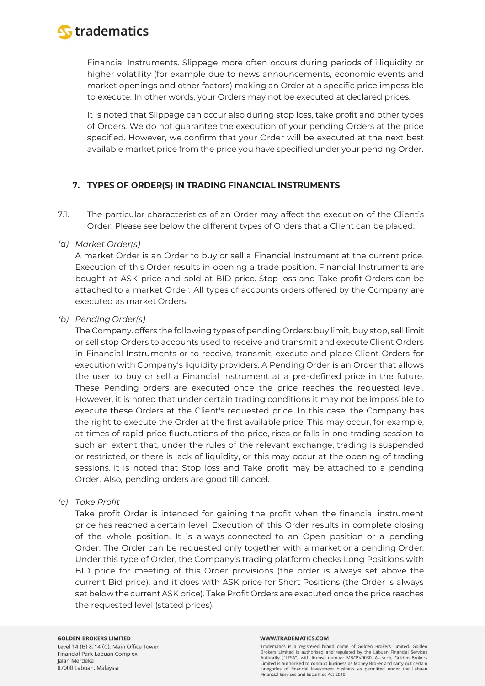

Financial Instruments. Slippage more often occurs during periods of illiquidity or higher volatility (for example due to news announcements, economic events and market openings and other factors) making an Order at a specific price impossible to execute. In other words, your Orders may not be executed at declared prices.

It is noted that Slippage can occur also during stop loss, take profit and other types of Orders. We do not guarantee the execution of your pending Orders at the price specified. However, we confirm that your Order will be executed at the next best available market price from the price you have specified under your pending Order.

### **7. TYPES OF ORDER(S) IN TRADING FINANCIAL INSTRUMENTS**

7.1. The particular characteristics of an Order may affect the execution of the Client's Order. Please see below the different types of Orders that a Client can be placed:

### *(a) Market Order(s)*

A market Order is an Order to buy or sell a Financial Instrument at the current price. Execution of this Order results in opening a trade position. Financial Instruments are bought at ASK price and sold at BID price. Stop loss and Take profit Orders can be attached to a market Order. All types of accounts orders offered by the Company are executed as market Orders.

### *(b) Pending Order(s)*

The Company. offers the following types of pending Orders: buy limit, buy stop, sell limit or sell stop Orders to accounts used to receive and transmit and execute Client Orders in Financial Instruments or to receive, transmit, execute and place Client Orders for execution with Company's liquidity providers. A Pending Order is an Order that allows the user to buy or sell a Financial Instrument at a pre-defined price in the future. These Pending orders are executed once the price reaches the requested level. However, it is noted that under certain trading conditions it may not be impossible to execute these Orders at the Client's requested price. In this case, the Company has the right to execute the Order at the first available price. This may occur, for example, at times of rapid price fluctuations of the price, rises or falls in one trading session to such an extent that, under the rules of the relevant exchange, trading is suspended or restricted, or there is lack of liquidity, or this may occur at the opening of trading sessions. It is noted that Stop loss and Take profit may be attached to a pending Order. Also, pending orders are good till cancel.

# *(c) Take Profit*

Take profit Order is intended for gaining the profit when the financial instrument price has reached a certain level. Execution of this Order results in complete closing of the whole position. It is always connected to an Open position or a pending Order. The Order can be requested only together with a market or a pending Order. Under this type of Order, the Company's trading platform checks Long Positions with BID price for meeting of this Order provisions (the order is always set above the current Bid price), and it does with ASK price for Short Positions (the Order is always set below the current ASK price). Take Profit Orders are executed once the price reaches the requested level (stated prices).

### **GOLDEN BROKERS LIMITED**

Level 14 (B) & 14 (C), Main Office Tower Financial Park Labuan Complex Jalan Merdeka 87000 Labuan, Malaysia

#### WWW.TRADEMATICS.COM

Tradematics is a registered brand name of Golden Brokers Limited. Golden Brokers Limited is authorised and regulated by the Labuan Financial Services Authority ("LFSA") with license number MB/19/0030. As such, Golden Brokers Limited is authorised to conduct business as Money Broker and carry out certain categories of financial investment business as permitted under the Labuan Financial Services and Securities Act 2010.